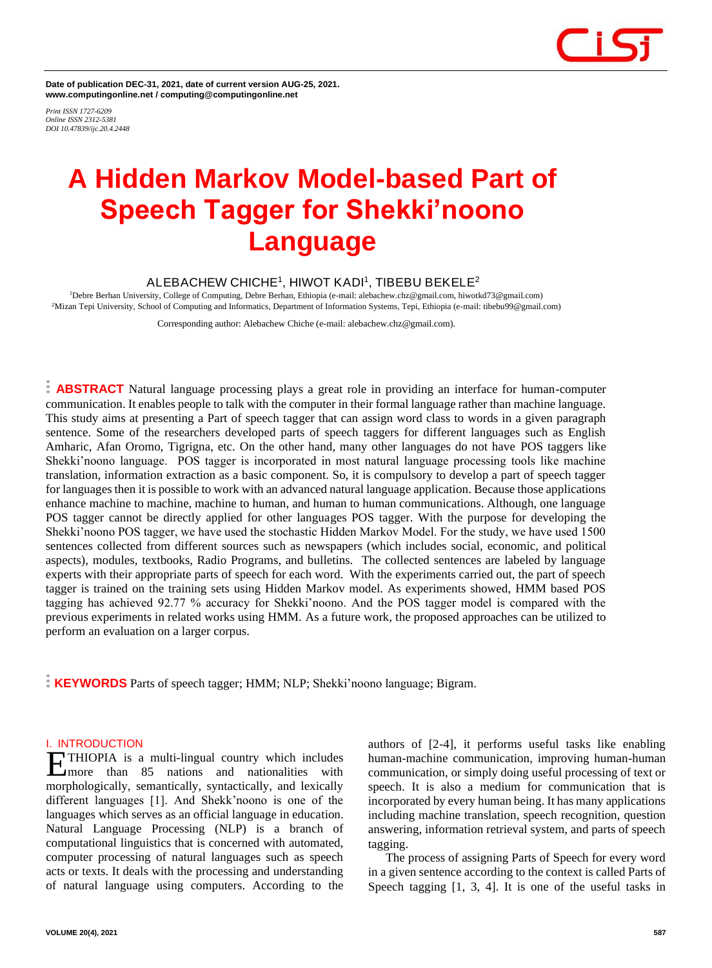**Date of publication DEC-31, 2021, date of current version AUG-25, 2021. www.computingonline.net / computing@computingonline.net**

*Print ISSN 1727-6209 Online ISSN 2312-5381 DOI 10.47839/ijc.20.4.2448*

# **A Hidden Markov Model-based Part of Speech Tagger for Shekki'noono Language**

# **ALEBACHEW CHICHE<sup>1</sup> , HIWOT KADI<sup>1</sup> , TIBEBU BEKELE<sup>2</sup>**

<sup>1</sup>Debre Berhan University, College of Computing, Debre Berhan, Ethiopia (e-mail: alebachew.chz@gmail.com, hiwotkd73@gmail.com) <sup>2</sup>Mizan Tepi University, School of Computing and Informatics, Department of Information Systems, Tepi, Ethiopia (e-mail: tibebu99@gmail.com)

Corresponding author: Alebachew Chiche (e-mail: alebachew.chz@gmail.com).

**ABSTRACT** Natural language processing plays a great role in providing an interface for human-computer communication. It enables people to talk with the computer in their formal language rather than machine language. This study aims at presenting a Part of speech tagger that can assign word class to words in a given paragraph sentence. Some of the researchers developed parts of speech taggers for different languages such as English Amharic, Afan Oromo, Tigrigna, etc. On the other hand, many other languages do not have POS taggers like Shekki'noono language. POS tagger is incorporated in most natural language processing tools like machine translation, information extraction as a basic component. So, it is compulsory to develop a part of speech tagger for languages then it is possible to work with an advanced natural language application. Because those applications enhance machine to machine, machine to human, and human to human communications. Although, one language POS tagger cannot be directly applied for other languages POS tagger. With the purpose for developing the Shekki'noono POS tagger, we have used the stochastic Hidden Markov Model. For the study, we have used 1500 sentences collected from different sources such as newspapers (which includes social, economic, and political aspects), modules, textbooks, Radio Programs, and bulletins. The collected sentences are labeled by language experts with their appropriate parts of speech for each word. With the experiments carried out, the part of speech tagger is trained on the training sets using Hidden Markov model. As experiments showed, HMM based POS tagging has achieved 92.77 % accuracy for Shekki'noono. And the POS tagger model is compared with the previous experiments in related works using HMM. As a future work, the proposed approaches can be utilized to perform an evaluation on a larger corpus.

**KEYWORDS** Parts of speech tagger; HMM; NLP; Shekki'noono language; Bigram.

# **I. INTRODUCTION**

THIOPIA is a multi-lingual country which includes more than 85 nations and nationalities with **EXAMPLE THIOPIA** is a multi-lingual country which includes<br>
more than 85 nations and nationalities with<br>
morphologically, semantically, syntactically, and lexically different languages [1]. And Shekk'noono is one of the languages which serves as an official language in education. Natural Language Processing (NLP) is a branch of computational linguistics that is concerned with automated, computer processing of natural languages such as speech acts or texts. It deals with the processing and understanding of natural language using computers. According to the

authors of [2-4], it performs useful tasks like enabling human-machine communication, improving human-human communication, or simply doing useful processing of text or speech. It is also a medium for communication that is incorporated by every human being. It has many applications including machine translation, speech recognition, question answering, information retrieval system, and parts of speech tagging.

The process of assigning Parts of Speech for every word in a given sentence according to the context is called Parts of Speech tagging [1, 3, 4]. It is one of the useful tasks in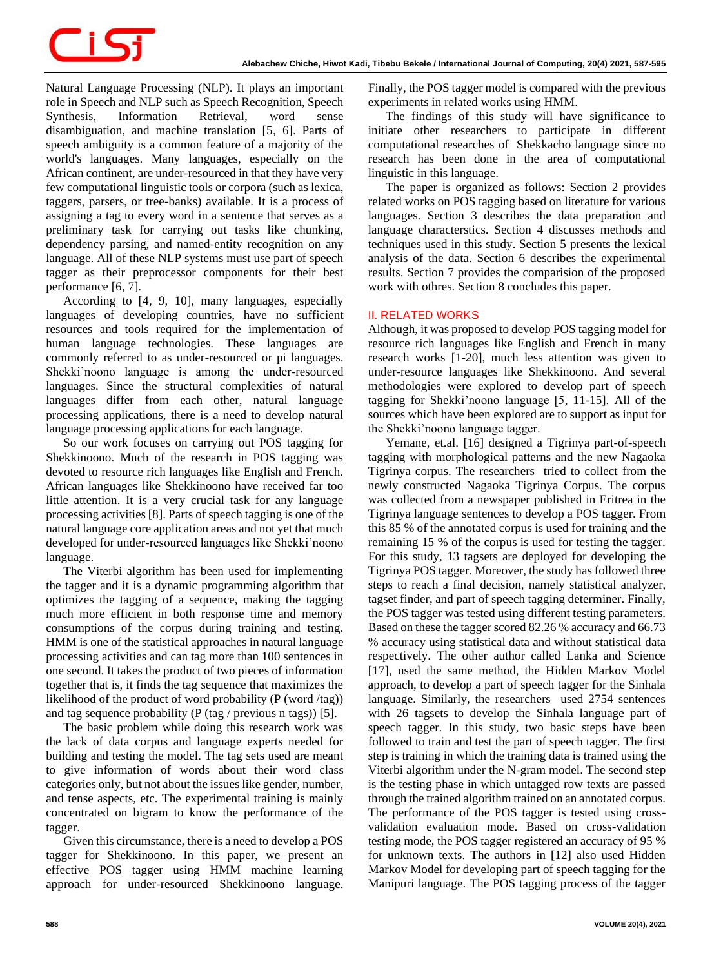Natural Language Processing (NLP). It plays an important role in Speech and NLP such as Speech Recognition, Speech Synthesis, Information Retrieval, word sense disambiguation, and machine translation [5, 6]. Parts of speech ambiguity is a common feature of a majority of the world's languages. Many languages, especially on the African continent, are under-resourced in that they have very few computational linguistic tools or corpora (such as lexica, taggers, parsers, or tree-banks) available. It is a process of assigning a tag to every word in a sentence that serves as a preliminary task for carrying out tasks like chunking, dependency parsing, and named-entity recognition on any language. All of these NLP systems must use part of speech tagger as their preprocessor components for their best performance [6, 7].

According to [4, 9, 10], many languages, especially languages of developing countries, have no sufficient resources and tools required for the implementation of human language technologies. These languages are commonly referred to as under-resourced or pi languages. Shekki'noono language is among the under-resourced languages. Since the structural complexities of natural languages differ from each other, natural language processing applications, there is a need to develop natural language processing applications for each language.

So our work focuses on carrying out POS tagging for Shekkinoono. Much of the research in POS tagging was devoted to resource rich languages like English and French. African languages like Shekkinoono have received far too little attention. It is a very crucial task for any language processing activities [8]. Parts of speech tagging is one of the natural language core application areas and not yet that much developed for under-resourced languages like Shekki'noono language.

The Viterbi algorithm has been used for implementing the tagger and it is a dynamic programming algorithm that optimizes the tagging of a sequence, making the tagging much more efficient in both response time and memory consumptions of the corpus during training and testing. HMM is one of the statistical approaches in natural language processing activities and can tag more than 100 sentences in one second. It takes the product of two pieces of information together that is, it finds the tag sequence that maximizes the likelihood of the product of word probability (P (word /tag)) and tag sequence probability (P (tag / previous n tags)) [5].

The basic problem while doing this research work was the lack of data corpus and language experts needed for building and testing the model. The tag sets used are meant to give information of words about their word class categories only, but not about the issues like gender, number, and tense aspects, etc. The experimental training is mainly concentrated on bigram to know the performance of the tagger.

Given this circumstance, there is a need to develop a POS tagger for Shekkinoono. In this paper, we present an effective POS tagger using HMM machine learning approach for under-resourced Shekkinoono language. Finally, the POS tagger model is compared with the previous experiments in related works using HMM.

The findings of this study will have significance to initiate other researchers to participate in different computational researches of Shekkacho language since no research has been done in the area of computational linguistic in this language.

The paper is organized as follows: Section 2 provides related works on POS tagging based on literature for various languages. Section 3 describes the data preparation and language characterstics. Section 4 discusses methods and techniques used in this study. Section 5 presents the lexical analysis of the data. Section 6 describes the experimental results. Section 7 provides the comparision of the proposed work with othres. Section 8 concludes this paper.

#### **II. RELATED WORKS**

Although, it was proposed to develop POS tagging model for resource rich languages like English and French in many research works [1-20], much less attention was given to under-resource languages like Shekkinoono. And several methodologies were explored to develop part of speech tagging for Shekki'noono language [5, 11-15]. All of the sources which have been explored are to support as input for the Shekki'noono language tagger.

Yemane, et.al. [16] designed a Tigrinya part-of-speech tagging with morphological patterns and the new Nagaoka Tigrinya corpus. The researchers tried to collect from the newly constructed Nagaoka Tigrinya Corpus. The corpus was collected from a newspaper published in Eritrea in the Tigrinya language sentences to develop a POS tagger. From this 85 % of the annotated corpus is used for training and the remaining 15 % of the corpus is used for testing the tagger. For this study, 13 tagsets are deployed for developing the Tigrinya POS tagger. Moreover, the study has followed three steps to reach a final decision, namely statistical analyzer, tagset finder, and part of speech tagging determiner. Finally, the POS tagger was tested using different testing parameters. Based on these the tagger scored 82.26 % accuracy and 66.73 % accuracy using statistical data and without statistical data respectively. The other author called Lanka and Science [17], used the same method, the Hidden Markov Model approach, to develop a part of speech tagger for the Sinhala language. Similarly, the researchers used 2754 sentences with 26 tagsets to develop the Sinhala language part of speech tagger. In this study, two basic steps have been followed to train and test the part of speech tagger. The first step is training in which the training data is trained using the Viterbi algorithm under the N-gram model. The second step is the testing phase in which untagged row texts are passed through the trained algorithm trained on an annotated corpus. The performance of the POS tagger is tested using crossvalidation evaluation mode. Based on cross-validation testing mode, the POS tagger registered an accuracy of 95 % for unknown texts. The authors in [12] also used Hidden Markov Model for developing part of speech tagging for the Manipuri language. The POS tagging process of the tagger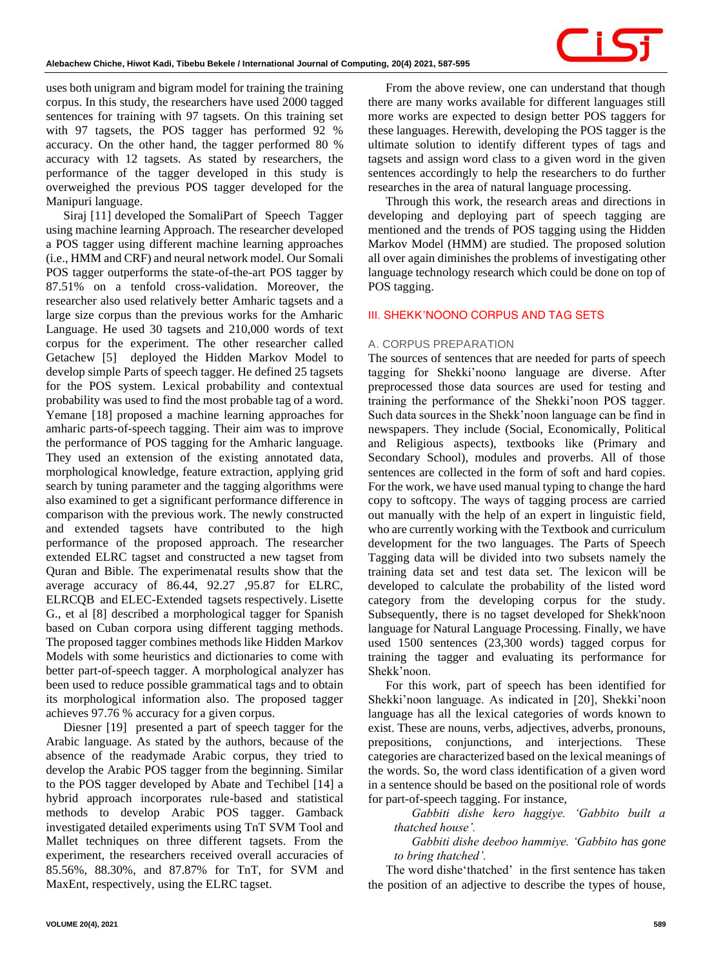uses both unigram and bigram model for training the training corpus. In this study, the researchers have used 2000 tagged sentences for training with 97 tagsets. On this training set with 97 tagsets, the POS tagger has performed 92 % accuracy. On the other hand, the tagger performed 80 % accuracy with 12 tagsets. As stated by researchers, the performance of the tagger developed in this study is overweighed the previous POS tagger developed for the Manipuri language.

Siraj [11] developed the SomaliPart of Speech Tagger using machine learning Approach. The researcher developed a POS tagger using different machine learning approaches (i.e., HMM and CRF) and neural network model. Our Somali POS tagger outperforms the state-of-the-art POS tagger by 87.51% on a tenfold cross-validation. Moreover, the researcher also used relatively better Amharic tagsets and a large size corpus than the previous works for the Amharic Language. He used 30 tagsets and 210,000 words of text corpus for the experiment. The other researcher called Getachew [5] deployed the Hidden Markov Model to develop simple Parts of speech tagger. He defined 25 tagsets for the POS system. Lexical probability and contextual probability was used to find the most probable tag of a word. Yemane [18] proposed a machine learning approaches for amharic parts-of-speech tagging. Their aim was to improve the performance of POS tagging for the Amharic language. They used an extension of the existing annotated data, morphological knowledge, feature extraction, applying grid search by tuning parameter and the tagging algorithms were also examined to get a significant performance difference in comparison with the previous work. The newly constructed and extended tagsets have contributed to the high performance of the proposed approach. The researcher extended ELRC tagset and constructed a new tagset from Quran and Bible. The experimenatal results show that the average accuracy of 86.44, 92.27 ,95.87 for ELRC, ELRCQB and ELEC-Extended tagsets respectively. Lisette G., et al [8] described a morphological tagger for Spanish based on Cuban corpora using different tagging methods. The proposed tagger combines methods like Hidden Markov Models with some heuristics and dictionaries to come with better part-of-speech tagger. A morphological analyzer has been used to reduce possible grammatical tags and to obtain its morphological information also. The proposed tagger achieves 97.76 % accuracy for a given corpus.

Diesner [19] presented a part of speech tagger for the Arabic language. As stated by the authors, because of the absence of the readymade Arabic corpus, they tried to develop the Arabic POS tagger from the beginning. Similar to the POS tagger developed by Abate and Techibel [14] a hybrid approach incorporates rule-based and statistical methods to develop Arabic POS tagger. Gamback investigated detailed experiments using TnT SVM Tool and Mallet techniques on three different tagsets. From the experiment, the researchers received overall accuracies of 85.56%, 88.30%, and 87.87% for TnT, for SVM and MaxEnt, respectively, using the ELRC tagset.

From the above review, one can understand that though there are many works available for different languages still more works are expected to design better POS taggers for these languages. Herewith, developing the POS tagger is the ultimate solution to identify different types of tags and tagsets and assign word class to a given word in the given sentences accordingly to help the researchers to do further researches in the area of natural language processing.

Through this work, the research areas and directions in developing and deploying part of speech tagging are mentioned and the trends of POS tagging using the Hidden Markov Model (HMM) are studied. The proposed solution all over again diminishes the problems of investigating other language technology research which could be done on top of POS tagging.

#### **III. SHEKK'NOONO CORPUS AND TAG SETS**

#### *A. CORPUS PREPARATION*

The sources of sentences that are needed for parts of speech tagging for Shekki'noono language are diverse. After preprocessed those data sources are used for testing and training the performance of the Shekki'noon POS tagger. Such data sources in the Shekk'noon language can be find in newspapers. They include (Social, Economically, Political and Religious aspects), textbooks like (Primary and Secondary School), modules and proverbs. All of those sentences are collected in the form of soft and hard copies. For the work, we have used manual typing to change the hard copy to softcopy. The ways of tagging process are carried out manually with the help of an expert in linguistic field, who are currently working with the Textbook and curriculum development for the two languages. The Parts of Speech Tagging data will be divided into two subsets namely the training data set and test data set. The lexicon will be developed to calculate the probability of the listed word category from the developing corpus for the study. Subsequently, there is no tagset developed for Shekk'noon language for Natural Language Processing. Finally, we have used 1500 sentences (23,300 words) tagged corpus for training the tagger and evaluating its performance for Shekk'noon.

For this work, part of speech has been identified for Shekki'noon language. As indicated in [20], Shekki'noon language has all the lexical categories of words known to exist. These are nouns, verbs, adjectives, adverbs, pronouns, prepositions, conjunctions, and interjections. These categories are characterized based on the lexical meanings of the words. So, the word class identification of a given word in a sentence should be based on the positional role of words for part-of-speech tagging. For instance,

*Gabbiti dishe kero haggiye. 'Gabbito built a thatched house'.* 

*Gabbiti dishe deeboo hammiye. 'Gabbito has gone to bring thatched'.* 

The word dishe'thatched' in the first sentence has taken the position of an adjective to describe the types of house,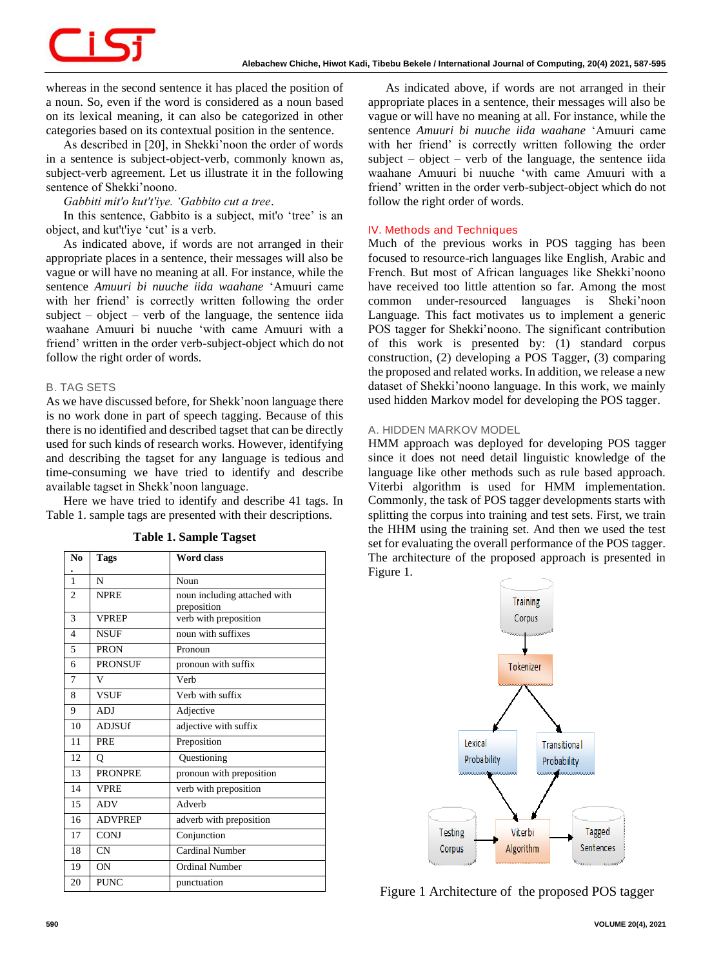whereas in the second sentence it has placed the position of a noun. So, even if the word is considered as a noun based on its lexical meaning, it can also be categorized in other categories based on its contextual position in the sentence.

As described in [20], in Shekki'noon the order of words in a sentence is subject-object-verb, commonly known as, subject-verb agreement. Let us illustrate it in the following sentence of Shekki'noono.

*Gabbiti mit'o kut't'iye. 'Gabbito cut a tree*.

In this sentence, Gabbito is a subject, mit'o 'tree' is an object, and kut't'iye 'cut' is a verb.

As indicated above, if words are not arranged in their appropriate places in a sentence, their messages will also be vague or will have no meaning at all. For instance, while the sentence *Amuuri bi nuuche iida waahane* 'Amuuri came with her friend' is correctly written following the order subject – object – verb of the language, the sentence iida waahane Amuuri bi nuuche 'with came Amuuri with a friend' written in the order verb-subject-object which do not follow the right order of words.

# *B. TAG SETS*

As we have discussed before, for Shekk'noon language there is no work done in part of speech tagging. Because of this there is no identified and described tagset that can be directly used for such kinds of research works. However, identifying and describing the tagset for any language is tedious and time-consuming we have tried to identify and describe available tagset in Shekk'noon language.

Here we have tried to identify and describe 41 tags. In Table 1. sample tags are presented with their descriptions.

| N <sub>0</sub> | Tags           | <b>Word class</b>            |  |  |
|----------------|----------------|------------------------------|--|--|
|                |                |                              |  |  |
| $\mathbf{1}$   | N              | Noun                         |  |  |
| $\overline{c}$ | <b>NPRE</b>    | noun including attached with |  |  |
|                |                | preposition                  |  |  |
| 3              | <b>VPREP</b>   | verb with preposition        |  |  |
| $\overline{4}$ | <b>NSUF</b>    | noun with suffixes           |  |  |
| 5              | <b>PRON</b>    | Pronoun                      |  |  |
| 6              | <b>PRONSUF</b> | pronoun with suffix          |  |  |
| 7              | V              | Verb                         |  |  |
| 8              | <b>VSUF</b>    | Verb with suffix             |  |  |
| 9              | ADJ            | Adjective                    |  |  |
| 10             | <b>ADJSUf</b>  | adjective with suffix        |  |  |
| 11             | <b>PRE</b>     | Preposition                  |  |  |
| 12             | Q              | Questioning                  |  |  |
| 13             | <b>PRONPRE</b> | pronoun with preposition     |  |  |
| 14             | <b>VPRE</b>    | verb with preposition        |  |  |
| 15             | <b>ADV</b>     | Adverb                       |  |  |
| 16             | <b>ADVPREP</b> | adverb with preposition      |  |  |
| 17             | <b>CONJ</b>    | Conjunction                  |  |  |
| 18             | <b>CN</b>      | <b>Cardinal Number</b>       |  |  |
| 19             | ON             | <b>Ordinal Number</b>        |  |  |
| 20             | <b>PUNC</b>    | punctuation                  |  |  |

**Table 1. Sample Tagset**

As indicated above, if words are not arranged in their appropriate places in a sentence, their messages will also be vague or will have no meaning at all. For instance, while the sentence *Amuuri bi nuuche iida waahane* 'Amuuri came with her friend' is correctly written following the order subject – object – verb of the language, the sentence iida waahane Amuuri bi nuuche 'with came Amuuri with a friend' written in the order verb-subject-object which do not follow the right order of words.

# **IV. Methods and Techniques**

Much of the previous works in POS tagging has been focused to resource-rich languages like English, Arabic and French. But most of African languages like Shekki'noono have received too little attention so far. Among the most common under-resourced languages is Sheki'noon Language. This fact motivates us to implement a generic POS tagger for Shekki'noono. The significant contribution of this work is presented by: (1) standard corpus construction, (2) developing a POS Tagger, (3) comparing the proposed and related works. In addition, we release a new dataset of Shekki'noono language. In this work, we mainly used hidden Markov model for developing the POS tagger.

# *A. HIDDEN MARKOV MODEL*

HMM approach was deployed for developing POS tagger since it does not need detail linguistic knowledge of the language like other methods such as rule based approach. Viterbi algorithm is used for HMM implementation. Commonly, the task of POS tagger developments starts with splitting the corpus into training and test sets. First, we train the HHM using the training set. And then we used the test set for evaluating the overall performance of the POS tagger. The architecture of the proposed approach is presented in Figure 1.



Figure 1 Architecture of the proposed POS tagger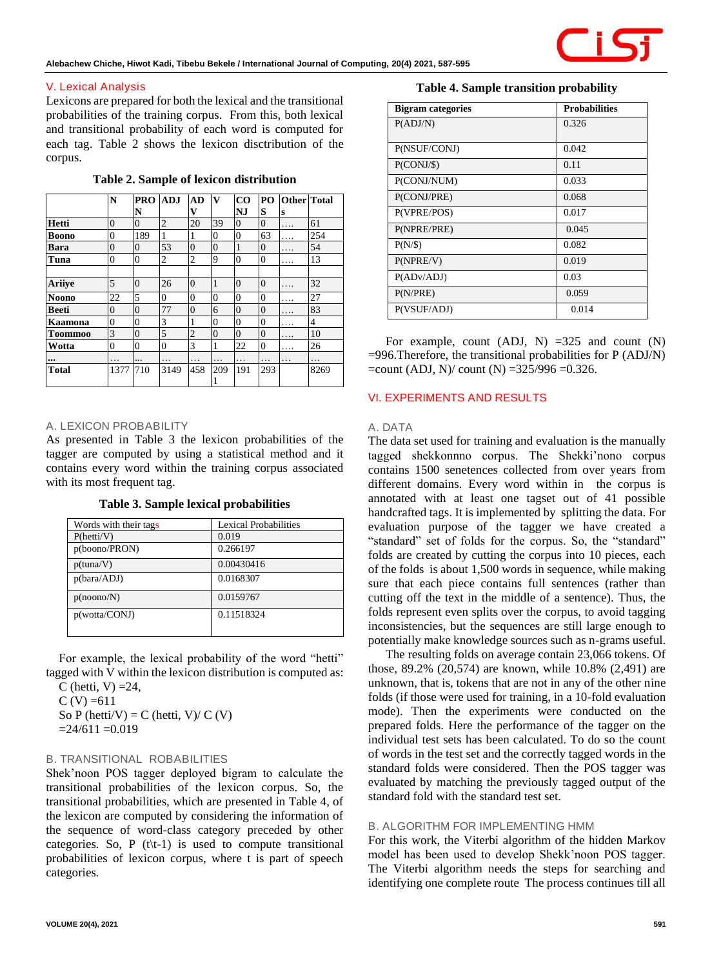

# **V. Lexical Analysis**

Lexicons are prepared for both the lexical and the transitional probabilities of the training corpus. From this, both lexical and transitional probability of each word is computed for each tag. Table 2 shows the lexicon disctribution of the corpus.

**Table 2. Sample of lexicon distribution**

|                         | N                | <b>PRO</b>     | <b>ADJ</b>     | AD             | $\mathbf v$ | $_{\rm CO}$    | PO <sub>1</sub> | <b>Other</b> Total |      |
|-------------------------|------------------|----------------|----------------|----------------|-------------|----------------|-----------------|--------------------|------|
|                         |                  | N              |                | v              |             | NJ             | S               | S                  |      |
| Hetti                   | $\overline{0}$   | 0              | $\overline{2}$ | 20             | 39          | $\overline{0}$ | $\overline{0}$  | .                  | 61   |
| <b>Boono</b>            | $\boldsymbol{0}$ | 189            | 1              | 1              | $\theta$    | $\overline{0}$ | 63              | .                  | 254  |
| Bara                    | $\overline{0}$   | $\overline{0}$ | 53             | $\overline{0}$ | $\theta$    | 1              | $\overline{0}$  | .                  | 54   |
| Tuna                    | $\overline{0}$   | $\overline{0}$ | $\overline{c}$ | $\overline{c}$ | 9           | $\theta$       | $\mathbf{0}$    | $\cdots$           | 13   |
|                         |                  |                |                |                |             |                |                 |                    |      |
| Ariiye                  | 5                | $\overline{0}$ | 26             | $\overline{0}$ | 1           | $\Omega$       | $\overline{0}$  | .                  | 32   |
| <b>Noono</b>            | 22               | 5              | $\overline{0}$ | $\theta$       | $\theta$    | $\theta$       | $\Omega$        | .                  | 27   |
| Beeti                   | $\overline{0}$   | $\overline{0}$ | 77             | $\overline{0}$ | 6           | $\overline{0}$ | $\theta$        | .                  | 83   |
| Kaamona                 | $\overline{0}$   | $\overline{0}$ | 3              | 1              | $\theta$    | $\theta$       | $\Omega$        | .                  | 4    |
| <b>Toommoo</b>          | $\overline{3}$   | $\overline{0}$ | 5              | $\overline{2}$ | $\theta$    | $\overline{0}$ | $\overline{0}$  | .                  | 10   |
| Wotta                   | 0                | $\overline{0}$ | $\overline{0}$ | 3              | 1           | 22             | $\mathbf{0}$    | .                  | 26   |
| $\bullet\bullet\bullet$ | .                |                | .              | .              | .           | .              | .               | .                  | .    |
| <b>Total</b>            | 1377             | 710            | 3149           | 458            | 209         | 191            | 293             |                    | 8269 |

#### *A. LEXICON PROBABILITY*

As presented in Table 3 the lexicon probabilities of the tagger are computed by using a statistical method and it contains every word within the training corpus associated with its most frequent tag.

**Table 3. Sample lexical probabilities** 

| Words with their tags | Lexical Probabilities |
|-----------------------|-----------------------|
| P(hetti/V)            | 0.019                 |
| p(boono/PRON)         | 0.266197              |
| p(tuna/V)             | 0.00430416            |
| p(bara/ADJ)           | 0.0168307             |
| p(noono/N)            | 0.0159767             |
| p(wotta/CONJ)         | 0.11518324            |

For example, the lexical probability of the word "hetti" tagged with V within the lexicon distribution is computed as:

C (hetti,  $V$ ) =24,  $C (V) = 611$ So P (hetti/V) = C (hetti, V)/ C (V)

 $=24/611 = 0.019$ 

#### *B. TRANSITIONAL ROBABILITIES*

Shek'noon POS tagger deployed bigram to calculate the transitional probabilities of the lexicon corpus. So, the transitional probabilities, which are presented in Table 4, of the lexicon are computed by considering the information of the sequence of word-class category preceded by other categories. So, P  $(t|t-1)$  is used to compute transitional probabilities of lexicon corpus, where t is part of speech categories.

# **Table 4. Sample transition probability**

| <b>Bigram</b> categories | <b>Probabilities</b> |
|--------------------------|----------------------|
| P(ADJ/N)                 | 0.326                |
|                          |                      |
| P(NSUF/CONJ)             | 0.042                |
| P(CONJ/S)                | 0.11                 |
| P(CONJ/NUM)              | 0.033                |
| P(CONJ/PRE)              | 0.068                |
| P(VPRE/POS)              | 0.017                |
| P(NPRE/PRE)              | 0.045                |
| P(N/S)                   | 0.082                |
| P(NPRE/V)                | 0.019                |
| P(ADv/ADJ)               | 0.03                 |
| P(N/PRE)                 | 0.059                |
| P(VSUF/ADJ)              | 0.014                |

For example, count  $(ADJ, N) = 325$  and count  $(N)$ =996.Therefore, the transitional probabilities for P (ADJ/N)  $=$ count (ADJ, N)/ count (N)  $=$ 325/996  $=$ 0.326.

# **VI. EXPERIMENTS AND RESULTS**

#### *A. DATA*

The data set used for training and evaluation is the manually tagged shekkonnno corpus. The Shekki'nono corpus contains 1500 senetences collected from over years from different domains. Every word within in the corpus is annotated with at least one tagset out of 41 possible handcrafted tags. It is implemented by splitting the data. For evaluation purpose of the tagger we have created a "standard" set of folds for the corpus. So, the "standard" folds are created by cutting the corpus into 10 pieces, each of the folds is about 1,500 words in sequence, while making sure that each piece contains full sentences (rather than cutting off the text in the middle of a sentence). Thus, the folds represent even splits over the corpus, to avoid tagging inconsistencies, but the sequences are still large enough to potentially make knowledge sources such as n-grams useful.

The resulting folds on average contain 23,066 tokens. Of those, 89.2% (20,574) are known, while 10.8% (2,491) are unknown, that is, tokens that are not in any of the other nine folds (if those were used for training, in a 10-fold evaluation mode). Then the experiments were conducted on the prepared folds. Here the performance of the tagger on the individual test sets has been calculated. To do so the count of words in the test set and the correctly tagged words in the standard folds were considered. Then the POS tagger was evaluated by matching the previously tagged output of the standard fold with the standard test set.

# *B. ALGORITHM FOR IMPLEMENTING HMM*

For this work, the Viterbi algorithm of the hidden Markov model has been used to develop Shekk'noon POS tagger. The Viterbi algorithm needs the steps for searching and identifying one complete route The process continues till all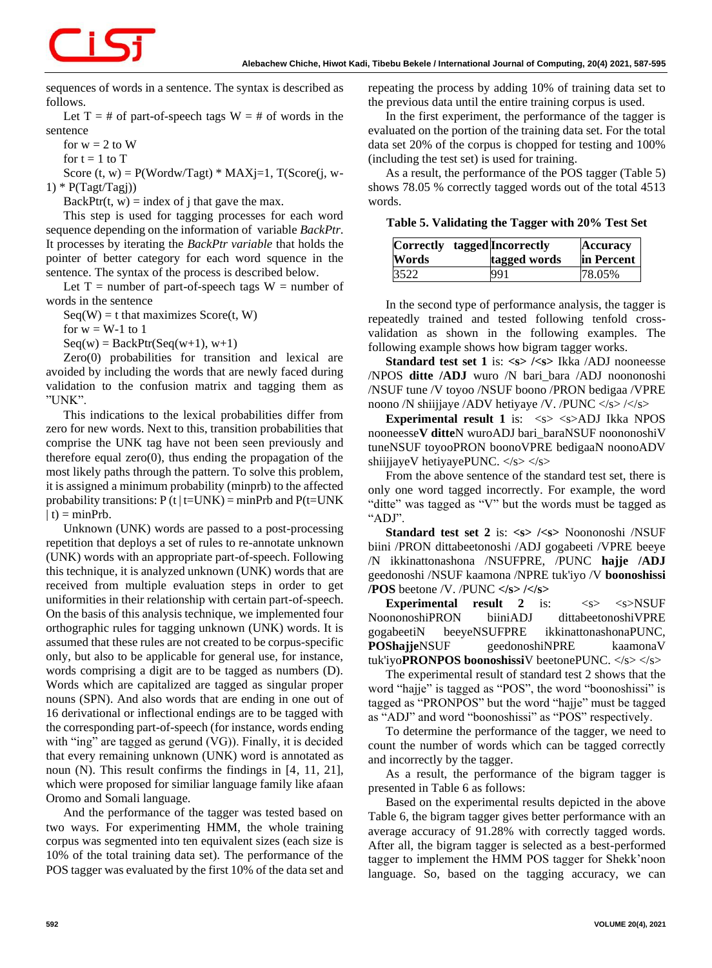sequences of words in a sentence. The syntax is described as follows.

Let  $T = #$  of part-of-speech tags  $W = #$  of words in the sentence

for  $w = 2$  to W

for  $t = 1$  to  $T$ 

Score  $(t, w) = P(Wordw/Tagt) * MAXj=1, T(Score(j, w-$ 1) \*  $P(Tagt/Tagi)$ 

BackPtr(t, w) = index of j that gave the max.

This step is used for tagging processes for each word sequence depending on the information of variable *BackPtr*. It processes by iterating the *BackPtr variable* that holds the pointer of better category for each word squence in the sentence. The syntax of the process is described below.

Let  $T =$  number of part-of-speech tags  $W =$  number of words in the sentence

 $Seq(W) = t$  that maximizes  $Score(t, W)$ 

for  $w = W-1$  to 1

 $Seq(w) = BackPtr(Seq(w+1), w+1)$ 

Zero(0) probabilities for transition and lexical are avoided by including the words that are newly faced during validation to the confusion matrix and tagging them as "UNK".

This indications to the lexical probabilities differ from zero for new words. Next to this, transition probabilities that comprise the UNK tag have not been seen previously and therefore equal  $zero(0)$ , thus ending the propagation of the most likely paths through the pattern. To solve this problem, it is assigned a minimum probability (minprb) to the affected probability transitions:  $P(t|t=UNK) = minPrb$  and  $P(t=UNK)$  $| t$ ) = minPrb.

Unknown (UNK) words are passed to a post-processing repetition that deploys a set of rules to re-annotate unknown (UNK) words with an appropriate part-of-speech. Following this technique, it is analyzed unknown (UNK) words that are received from multiple evaluation steps in order to get uniformities in their relationship with certain part-of-speech. On the basis of this analysis technique, we implemented four orthographic rules for tagging unknown (UNK) words. It is assumed that these rules are not created to be corpus-specific only, but also to be applicable for general use, for instance, words comprising a digit are to be tagged as numbers (D). Words which are capitalized are tagged as singular proper nouns (SPN). And also words that are ending in one out of 16 derivational or inflectional endings are to be tagged with the corresponding part-of-speech (for instance, words ending with "ing" are tagged as gerund (VG)). Finally, it is decided that every remaining unknown (UNK) word is annotated as noun (N). This result confirms the findings in [4, 11, 21], which were proposed for similiar language family like afaan Oromo and Somali language.

And the performance of the tagger was tested based on two ways. For experimenting HMM, the whole training corpus was segmented into ten equivalent sizes (each size is 10% of the total training data set). The performance of the POS tagger was evaluated by the first 10% of the data set and repeating the process by adding 10% of training data set to the previous data until the entire training corpus is used.

In the first experiment, the performance of the tagger is evaluated on the portion of the training data set. For the total data set 20% of the corpus is chopped for testing and 100% (including the test set) is used for training.

As a result, the performance of the POS tagger (Table 5) shows 78.05 % correctly tagged words out of the total 4513 words.

**Table 5. Validating the Tagger with 20% Test Set**

| Words | Correctly tagged Incorrectly<br>tagged words | Accuracy<br>in Percent |
|-------|----------------------------------------------|------------------------|
| 3522  | 991                                          | 78.05%                 |

In the second type of performance analysis, the tagger is repeatedly trained and tested following tenfold crossvalidation as shown in the following examples. The following example shows how bigram tagger works.

**Standard test set 1** is: **<s> /<s>** Ikka /ADJ nooneesse /NPOS **ditte /ADJ** wuro /N bari\_bara /ADJ noononoshi /NSUF tune /V toyoo /NSUF boono /PRON bedigaa /VPRE noono /N shiijjaye /ADV hetiyaye /V. /PUNC </s> /</s>

**Experimental result 1** is:  $\langle s \rangle \langle s \rangle$ ADJ Ikka NPOS nooneesse**V ditte**N wuroADJ bari\_baraNSUF noononoshiV tuneNSUF toyooPRON boonoVPRE bedigaaN noonoADV shiijjayeV hetiyayePUNC.  $\langle$ s>  $\langle$ s>

From the above sentence of the standard test set, there is only one word tagged incorrectly. For example, the word "ditte" was tagged as "V" but the words must be tagged as "ADJ".

**Standard test set 2** is: <s> /<s> Noononoshi /NSUF biini /PRON dittabeetonoshi /ADJ gogabeeti /VPRE beeye /N ikkinattonashona /NSUFPRE, /PUNC **hajje /ADJ** geedonoshi /NSUF kaamona /NPRE tuk'iyo /V **boonoshissi /POS** beetone /V. /PUNC **</s> /</s>**

**Experimental result 2** is:  $\langle s \rangle$   $\langle s \rangle$  NSUF NoononoshiPRON biiniADJ dittabeetonoshiVPRE gogabeetiN beeyeNSUFPRE ikkinattonashonaPUNC, **POShajje**NSUF geedonoshiNPRE kaamonaV tuk'iyo**PRONPOS boonoshissi**V beetonePUNC. </s> </s>

The experimental result of standard test 2 shows that the word "hajje" is tagged as "POS", the word "boonoshissi" is tagged as "PRONPOS" but the word "hajje" must be tagged as "ADJ" and word "boonoshissi" as "POS" respectively.

To determine the performance of the tagger, we need to count the number of words which can be tagged correctly and incorrectly by the tagger.

As a result, the performance of the bigram tagger is presented in Table 6 as follows:

Based on the experimental results depicted in the above Table 6, the bigram tagger gives better performance with an average accuracy of 91.28% with correctly tagged words. After all, the bigram tagger is selected as a best-performed tagger to implement the HMM POS tagger for Shekk'noon language. So, based on the tagging accuracy, we can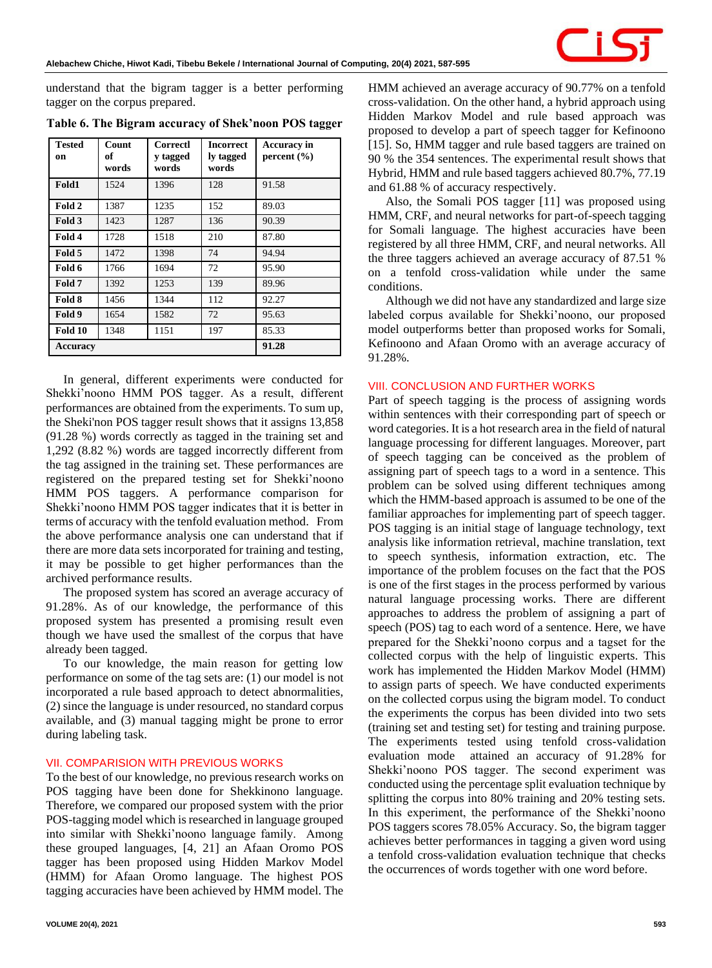

understand that the bigram tagger is a better performing tagger on the corpus prepared.

| Tested<br>on    | Count<br>оf<br>words | Correctl<br>y tagged<br>words | <b>Incorrect</b><br>ly tagged<br>words | <b>Accuracy</b> in<br>percent $(\% )$ |
|-----------------|----------------------|-------------------------------|----------------------------------------|---------------------------------------|
| Fold1           | 1524                 | 1396                          | 128                                    | 91.58                                 |
| Fold 2          | 1387                 | 1235                          | 152                                    | 89.03                                 |
| Fold 3          | 1423                 | 1287                          | 136                                    | 90.39                                 |
| Fold 4          | 1728                 | 1518                          | 210                                    | 87.80                                 |
| Fold 5          | 1472                 | 1398                          | 74                                     | 94.94                                 |
| Fold 6          | 1766                 | 1694                          | 72                                     | 95.90                                 |
| Fold 7          | 1392                 | 1253                          | 139                                    | 89.96                                 |
| Fold 8          | 1456                 | 1344                          | 112                                    | 92.27                                 |
| Fold 9          | 1654                 | 1582                          | 72                                     | 95.63                                 |
| Fold 10         | 1348                 | 1151                          | 197                                    | 85.33                                 |
| <b>Accuracy</b> |                      | 91.28                         |                                        |                                       |

**Table 6. The Bigram accuracy of Shek'noon POS tagger**

In general, different experiments were conducted for Shekki'noono HMM POS tagger. As a result, different performances are obtained from the experiments. To sum up, the Sheki'non POS tagger result shows that it assigns 13,858 (91.28 %) words correctly as tagged in the training set and 1,292 (8.82 %) words are tagged incorrectly different from the tag assigned in the training set. These performances are registered on the prepared testing set for Shekki'noono HMM POS taggers. A performance comparison for Shekki'noono HMM POS tagger indicates that it is better in terms of accuracy with the tenfold evaluation method. From the above performance analysis one can understand that if there are more data sets incorporated for training and testing, it may be possible to get higher performances than the archived performance results.

The proposed system has scored an average accuracy of 91.28%. As of our knowledge, the performance of this proposed system has presented a promising result even though we have used the smallest of the corpus that have already been tagged.

To our knowledge, the main reason for getting low performance on some of the tag sets are: (1) our model is not incorporated a rule based approach to detect abnormalities, (2) since the language is under resourced, no standard corpus available, and (3) manual tagging might be prone to error during labeling task.

# **VII. COMPARISION WITH PREVIOUS WORKS**

To the best of our knowledge, no previous research works on POS tagging have been done for Shekkinono language. Therefore, we compared our proposed system with the prior POS-tagging model which is researched in language grouped into similar with Shekki'noono language family. Among these grouped languages, [4, 21] an Afaan Oromo POS tagger has been proposed using Hidden Markov Model (HMM) for Afaan Oromo language. The highest POS tagging accuracies have been achieved by HMM model. The HMM achieved an average accuracy of 90.77% on a tenfold cross-validation. On the other hand, a hybrid approach using Hidden Markov Model and rule based approach was proposed to develop a part of speech tagger for Kefinoono [15]. So, HMM tagger and rule based taggers are trained on 90 % the 354 sentences. The experimental result shows that Hybrid, HMM and rule based taggers achieved 80.7%, 77.19 and 61.88 % of accuracy respectively.

Also, the Somali POS tagger [11] was proposed using HMM, CRF, and neural networks for part-of-speech tagging for Somali language. The highest accuracies have been registered by all three HMM, CRF, and neural networks. All the three taggers achieved an average accuracy of 87.51 % on a tenfold cross-validation while under the same conditions.

Although we did not have any standardized and large size labeled corpus available for Shekki'noono, our proposed model outperforms better than proposed works for Somali, Kefinoono and Afaan Oromo with an average accuracy of 91.28%.

#### **VIII. CONCLUSION AND FURTHER WORKS**

Part of speech tagging is the process of assigning words within sentences with their corresponding part of speech or word categories. It is a hot research area in the field of natural language processing for different languages. Moreover, part of speech tagging can be conceived as the problem of assigning part of speech tags to a word in a sentence. This problem can be solved using different techniques among which the HMM-based approach is assumed to be one of the familiar approaches for implementing part of speech tagger. POS tagging is an initial stage of language technology, text analysis like information retrieval, machine translation, text to speech synthesis, information extraction, etc. The importance of the problem focuses on the fact that the POS is one of the first stages in the process performed by various natural language processing works. There are different approaches to address the problem of assigning a part of speech (POS) tag to each word of a sentence. Here, we have prepared for the Shekki'noono corpus and a tagset for the collected corpus with the help of linguistic experts. This work has implemented the Hidden Markov Model (HMM) to assign parts of speech. We have conducted experiments on the collected corpus using the bigram model. To conduct the experiments the corpus has been divided into two sets (training set and testing set) for testing and training purpose. The experiments tested using tenfold cross-validation evaluation mode attained an accuracy of 91.28% for Shekki'noono POS tagger. The second experiment was conducted using the percentage split evaluation technique by splitting the corpus into 80% training and 20% testing sets. In this experiment, the performance of the Shekki'noono POS taggers scores 78.05% Accuracy. So, the bigram tagger achieves better performances in tagging a given word using a tenfold cross-validation evaluation technique that checks the occurrences of words together with one word before.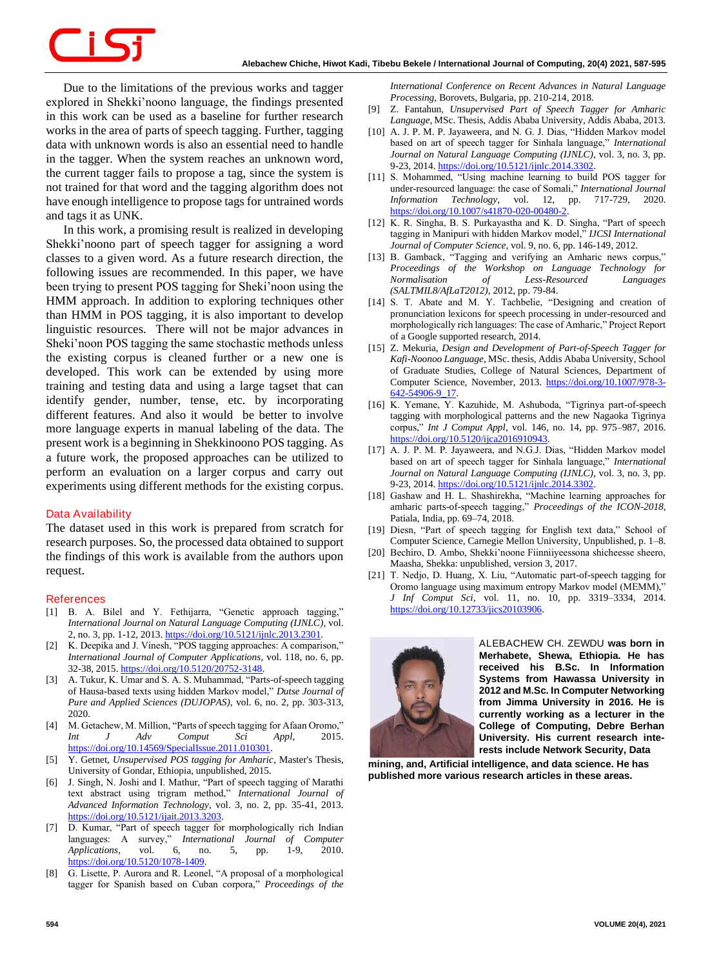# <u> 15</u>

Due to the limitations of the previous works and tagger explored in Shekki'noono language, the findings presented in this work can be used as a baseline for further research works in the area of parts of speech tagging. Further, tagging data with unknown words is also an essential need to handle in the tagger. When the system reaches an unknown word, the current tagger fails to propose a tag, since the system is not trained for that word and the tagging algorithm does not have enough intelligence to propose tags for untrained words and tags it as UNK.

In this work, a promising result is realized in developing Shekki'noono part of speech tagger for assigning a word classes to a given word. As a future research direction, the following issues are recommended. In this paper, we have been trying to present POS tagging for Sheki'noon using the HMM approach. In addition to exploring techniques other than HMM in POS tagging, it is also important to develop linguistic resources. There will not be major advances in Sheki'noon POS tagging the same stochastic methods unless the existing corpus is cleaned further or a new one is developed. This work can be extended by using more training and testing data and using a large tagset that can identify gender, number, tense, etc. by incorporating different features. And also it would be better to involve more language experts in manual labeling of the data. The present work is a beginning in Shekkinoono POS tagging. As a future work, the proposed approaches can be utilized to perform an evaluation on a larger corpus and carry out experiments using different methods for the existing corpus.

# **Data Availability**

The dataset used in this work is prepared from scratch for research purposes. So, the processed data obtained to support the findings of this work is available from the authors upon request.

#### **References**

- [1] B. A. Bilel and Y. Fethijarra, "Genetic approach tagging," *International Journal on Natural Language Computing (IJNLC)*, vol. 2, no. 3, pp. 1-12, 2013. [https://doi.org/10.5121/ijnlc.2013.2301.](https://doi.org/10.5121/ijnlc.2013.2301)
- [2] K. Deepika and J. Vinesh, "POS tagging approaches: A comparison," *International Journal of Computer Applications*, vol. 118, no. 6, pp. 32-38, 2015. [https://doi.org/10.5120/20752-3148.](https://doi.org/10.5120/20752-3148)
- [3] A. Tukur, K. Umar and S. A. S. Muhammad, "Parts-of-speech tagging of Hausa-based texts using hidden Markov model," *Dutse Journal of Pure and Applied Sciences (DUJOPAS)*, vol. 6, no. 2, pp. 303-313, 2020.
- [4] M. Getachew, M. Million, "Parts of speech tagging for Afaan Oromo," *Int J Adv Comput Sci Appl*, 2015. [https://doi.org/10.14569/SpecialIssue.2011.010301.](https://doi.org/10.14569/SpecialIssue.2011.010301)
- [5] Y. Getnet, *Unsupervised POS tagging for Amharic*, Master's Thesis, University of Gondar, Ethiopia, unpublished, 2015.
- [6] J. Singh, N. Joshi and I. Mathur, "Part of speech tagging of Marathi text abstract using trigram method," *International Journal of Advanced Information Technology*, vol. 3, no. 2, pp. 35-41, 2013. [https://doi.org/10.5121/ijait.2013.3203.](https://doi.org/10.5121/ijait.2013.3203)
- [7] D. Kumar, "Part of speech tagger for morphologically rich Indian languages: A survey," *International Journal of Computer Applications*, vol. 6, no. 5, pp. 1-9, 2010. [https://doi.org/10.5120/1078-1409.](https://doi.org/10.5120/1078-1409)
- [8] G. Lisette, P. Aurora and R. Leonel, "A proposal of a morphological tagger for Spanish based on Cuban corpora," *Proceedings of the*

*International Conference on Recent Advances in Natural Language Processing*, Borovets, Bulgaria, pp. 210-214, 2018.

- [9] Z. Fantahun, *Unsupervised Part of Speech Tagger for Amharic Language*, MSc. Thesis, Addis Ababa University, Addis Ababa, 2013.
- [10] A. J. P. M. P. Jayaweera, and N. G. J. Dias, "Hidden Markov model based on art of speech tagger for Sinhala language," *International Journal on Natural Language Computing (IJNLC)*, vol. 3, no. 3, pp. 9-23, 2014. [https://doi.org/10.5121/ijnlc.2014.3302.](https://doi.org/10.5121/ijnlc.2014.3302)
- [11] S. Mohammed, "Using machine learning to build POS tagger for under-resourced language: the case of Somali," *International Journal Information Technology*, vol. 12, pp. 717-729, 2020. https://doi.org/10.1007/s41870-020-00480-2
- [12] K. R. Singha, B. S. Purkayastha and K. D. Singha, "Part of speech tagging in Manipuri with hidden Markov model," *IJCSI International Journal of Computer Science*, vol. 9, no. 6, pp. 146-149, 2012.
- [13] B. Gamback, "Tagging and verifying an Amharic news corpus," *Proceedings of the Workshop on Language Technology for Normalisation of Less-Resourced Languages (SALTMIL8/AfLaT2012)*, 2012, pp. 79-84.
- [14] S. T. Abate and M. Y. Tachbelie, "Designing and creation of pronunciation lexicons for speech processing in under-resourced and morphologically rich languages: The case of Amharic," Project Report of a Google supported research, 2014.
- [15] Z. Mekuria, *Design and Development of Part-of-Speech Tagger for Kafi-Noonoo Language*, MSc. thesis, Addis Ababa University, School of Graduate Studies, College of Natural Sciences, Department of Computer Science, November, 2013. [https://doi.org/10.1007/978-3-](https://doi.org/10.1007/978-3-642-54906-9_17) [642-54906-9\\_17.](https://doi.org/10.1007/978-3-642-54906-9_17)
- [16] K. Yemane, Y. Kazuhide, M. Ashuboda, "Tigrinya part-of-speech tagging with morphological patterns and the new Nagaoka Tigrinya corpus," *Int J Comput Appl*, vol. 146, no. 14, pp. 975–987, 2016. [https://doi.org/10.5120/ijca2016910943.](https://doi.org/10.5120/ijca2016910943)
- [17] A. J. P. M. P. Jayaweera, and N.G.J. Dias, "Hidden Markov model based on art of speech tagger for Sinhala language," *International Journal on Natural Language Computing (IJNLC)*, vol. 3, no. 3, pp. 9-23, 2014[. https://doi.org/10.5121/ijnlc.2014.3302.](https://doi.org/10.5121/ijnlc.2014.3302)
- [18] Gashaw and H. L. Shashirekha, "Machine learning approaches for amharic parts-of-speech tagging," *Proceedings of the ICON-2018*, Patiala, India, pp. 69–74, 2018.
- [19] Diesn, "Part of speech tagging for English text data," School of Computer Science, Carnegie Mellon University, Unpublished, p. 1–8.
- [20] Bechiro, D. Ambo, Shekki'noone Fiinniiyeessona shicheesse sheero, Maasha, Shekka: unpublished, version 3, 2017.
- [21] T. Nedjo, D. Huang, X. Liu, "Automatic part-of-speech tagging for Oromo language using maximum entropy Markov model (MEMM)," *J Inf Comput Sci*, vol. 11, no. 10, pp. 3319–3334, 2014. [https://doi.org/10.12733/jics20103906.](https://doi.org/10.12733/jics20103906)



*ALEBACHEW CH. ZEWDU was born in Merhabete, Shewa, Ethiopia. He has received his B.Sc. In Information Systems from Hawassa University in 2012 and M.Sc. In Computer Networking from Jimma University in 2016. He is currently working as a lecturer in the College of Computing, Debre Berhan University. His current research interests include Network Security, Data*

*mining, and, Artificial intelligence, and data science. He has published more various research articles in these areas.*